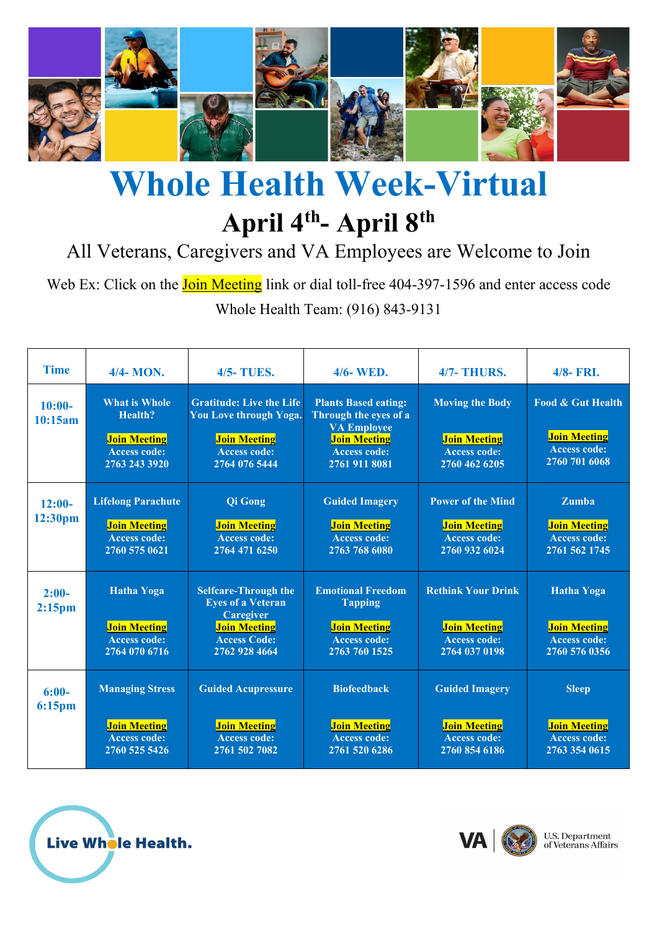

# **Whole Health Week-Virtual April 4 th - April 8 th**

All Veterans, Caregivers and VA Employees are Welcome to Join

Web Ex: Click on the **Join Meeting** link or dial toll-free 404-397-1596 and enter access code Whole Health Team: (916) 843-9131

| <b>Time</b>                   | 4/4- MON.                                                                                             | <b>4/5-TUES.</b>                                                                                                                           | 4/6-WED.                                                                                                                                  | <b>4/7- THURS.</b>                                                                       | 4/8- FRI.                                                                                   |
|-------------------------------|-------------------------------------------------------------------------------------------------------|--------------------------------------------------------------------------------------------------------------------------------------------|-------------------------------------------------------------------------------------------------------------------------------------------|------------------------------------------------------------------------------------------|---------------------------------------------------------------------------------------------|
| $10:00-$<br>10:15am           | <b>What is Whole</b><br><b>Health?</b><br><b>Join Meeting</b><br><b>Access code:</b><br>2763 243 3920 | <b>Gratitude: Live the Life</b><br>You Love through Yoga.<br><b>Join Meeting</b><br><b>Access code:</b><br>2764 076 5444                   | <b>Plants Based eating:</b><br>Through the eyes of a<br><b>VA Employee</b><br><b>Join Meeting</b><br><b>Access code:</b><br>2761 911 8081 | <b>Moving the Body</b><br><b>Join Meeting</b><br><b>Access code:</b><br>2760 462 6205    | <b>Food &amp; Gut Health</b><br><b>Join Meeting</b><br><b>Access code:</b><br>2760 701 6068 |
| $12:00-$<br>12:30pm           | <b>Lifelong Parachute</b><br><b>Join Meeting</b><br><b>Access code:</b><br>2760 575 0621              | <b>Qi</b> Gong<br><b>Join Meeting</b><br><b>Access code:</b><br>2764 471 6250                                                              | <b>Guided Imagery</b><br><b>Join Meeting</b><br><b>Access code:</b><br>2763 768 6080                                                      | <b>Power of the Mind</b><br><b>Join Meeting</b><br><b>Access code:</b><br>2760 932 6024  | <b>Zumba</b><br><b>Join Meeting</b><br><b>Access code:</b><br>2761 562 1745                 |
| $2:00-$<br>2:15 <sub>pm</sub> | <b>Hatha Yoga</b><br><b>Join Meeting</b><br>Access code:<br>2764 070 6716                             | <b>Selfcare-Through the</b><br><b>Eyes of a Veteran</b><br><b>Caregiver</b><br><b>Join Meeting</b><br><b>Access Code:</b><br>2762 928 4664 | <b>Emotional Freedom</b><br><b>Tapping</b><br><b>Join Meeting</b><br><b>Access code:</b><br>2763 760 1525                                 | <b>Rethink Your Drink</b><br><b>Join Meeting</b><br><b>Access code:</b><br>2764 037 0198 | <b>Hatha Yoga</b><br><b>Join Meeting</b><br><b>Access code:</b><br>2760 576 0356            |
| $6:00-$<br><b>6:15pm</b>      | <b>Managing Stress</b><br><b>Join Meeting</b><br><b>Access code:</b><br>2760 525 5426                 | Guided Acupressure<br><b>Join Meeting</b><br><b>Access code:</b><br>2761 502 7082                                                          | <b>Biofeedback</b><br><b>Join Meeting</b><br><b>Access code:</b><br>2761 520 6286                                                         | <b>Guided Imagery</b><br><b>Join Meeting</b><br><b>Access code:</b><br>2760 854 6186     | <b>Sleep</b><br><b>Join Meeting</b><br><b>Access code:</b><br>2763 354 0615                 |